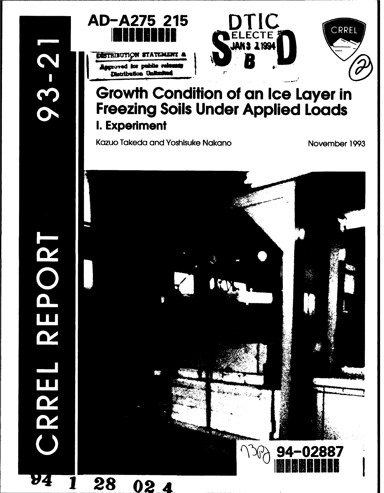**POR** 

T

**PZ** 

RREL

94



DISTRIBUTION STATEMENT **Augroved for public re** Distribution Uniter



# **Growth Condition of an Ice Layer in Freezing Soils Under Applied Loads** I. Experiment

Kazuo Takeda and Yoshisuke Nakano

November 1993

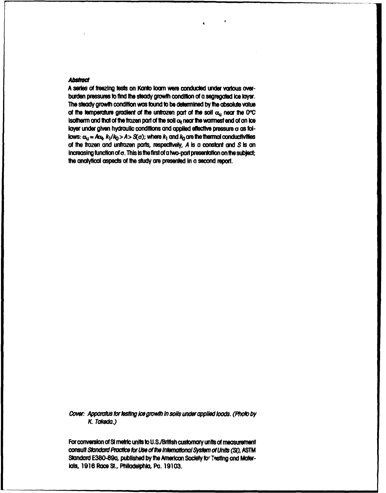#### **Abstract**

A series of freezing tests on Kanto Ioam were conducted under various overburden pressures to find the steady growth condition of a segregated ice layer. The steady growth condition was found to be determined by the absolute value of the temperature gradient of the unfrozen part of the soil  $\alpha_{ij}$  near the O°C isotherm and that of the frozen part of the soil o<sub>f</sub> near the warmest end of an ice layer under given hydraulic conditions and applied effective pressure o as follows:  $\alpha_{11} = A \alpha_{4} k_1 / k_0 > A > S(\sigma)$ ; where  $k_1$  and  $k_0$  are the thermol conductivities of the frozen and unfrozen parts, respectively, A is a constant and S is an increasing function of  $\sigma$ . This is the first of a two-part presentation on the subject; the analytical aspects of the study are presented in a second report.

Cover: Apparatus for testing ice growth in soils under applied loads. (Photo by K. Takeda.)

For conversion of SI metric units to U.S./British customary units of measurement consult Standard Practice for Use of the International System of Units (SI), ASTM Standard E380-89a, published by the American Society for Testing and Materials, 1916 Race St., Philadelphia, Pa. 19103.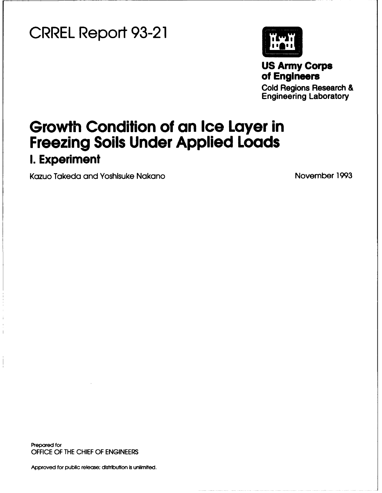# CRREL Report **93-21**



**US** Army Corps of **Engineers**

Cold Regions Research & Engineering Laboratory

# Growth Condition of an Ice Layer in Freezing **Soils** Under Applied Loads **I.** Experiment

Kazuo Takeda and Yoshisuke Nakano November 1993

Prepared for OFFICE OF THE CHIEF OF ENGINEERS

Approved for public release; distribution is unlimited.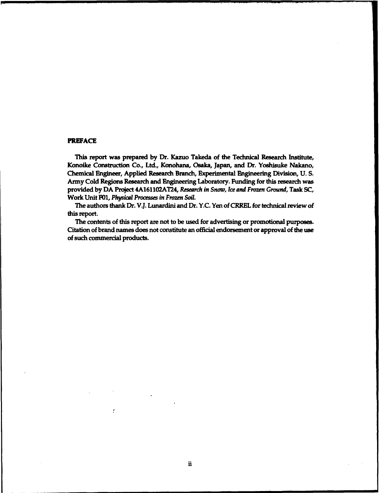#### PREFACE

This report was prepared by Dr. Kazuo Takeda of the Technical Research Institute, Konoike Construction Co., Ltd., Konohana, Osaka, Japan, and Dr. Yoshisuke Nakano, Chemical Engineer, Applied Research Branch, Experimental Engineering Division, U. S. Army Cold Regions Research and Engineering Laboratory. Funding for this research was provided by DA Project 4A161102AT24, *Research in Snow, Ice and Frozen Ground,* Task SC, Work Unit F01, *Physical Processes in Frozen Soil.*

The authors thank Dr. V.J. Lunardini and Dr. Y.C. Yen of CRREL for technical review of this report.

The contents of this report are not to be used for advertising or promotional purposes. Citation of brand names does not constitute an official endorsement or approval of the use of such commercial products.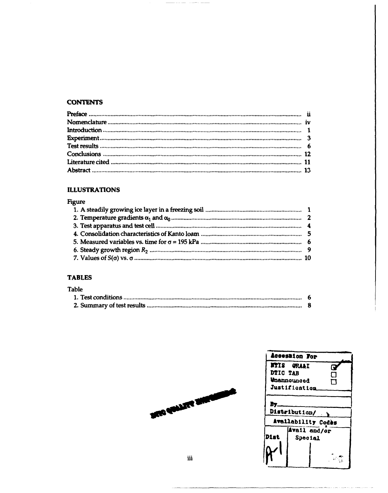# **CONTENTS**

<u>and the same of the same and</u>

## **ILLUSTRATIONS**

## Figure

# **TABLES**

| Table |  |
|-------|--|
|       |  |
|       |  |

|          | Accession For         |   |
|----------|-----------------------|---|
|          |                       |   |
|          | <b>NTIS GRA&amp;I</b> | Q |
| DTIC TAB |                       | П |
|          | <b>Unannounced</b>    | ٦ |
|          | Justification         |   |
|          |                       |   |
|          |                       |   |
|          | Distribution/ \       |   |
|          | Availability Codes    |   |
|          | <b>Avail and/or</b>   |   |
| Dist     | <b>Special</b>        |   |
|          |                       |   |
|          |                       |   |
|          |                       |   |
|          |                       |   |

الممتر المرارة سيروز وسروان ومنتجع للشا

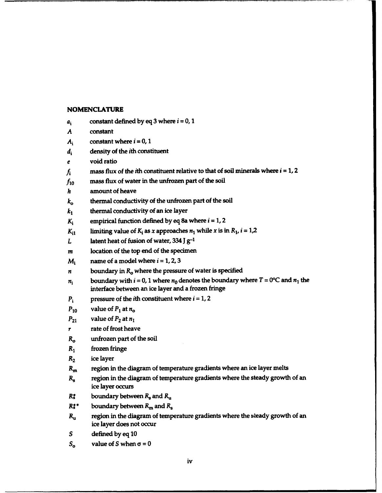### **NOMENCLATURE**

| $a_i$        | constant defined by eq 3 where $i = 0, 1$                                                                                                       |
|--------------|-------------------------------------------------------------------------------------------------------------------------------------------------|
| A            | constant                                                                                                                                        |
| $A_i$        | constant where $i = 0, 1$                                                                                                                       |
| $d_i$        | density of the <i>i</i> th constituent                                                                                                          |
| e            | void ratio                                                                                                                                      |
| ĥ            | mass flux of the <i>i</i> th constituent relative to that of soil minerals where $i = 1, 2$                                                     |
| $f_{10}$     | mass flux of water in the unfrozen part of the soil                                                                                             |
| h            | amount of heave                                                                                                                                 |
| $k_{o}$      | thermal conductivity of the unfrozen part of the soil                                                                                           |
| $k_1$        | thermal conductivity of an ice layer                                                                                                            |
| $K_i$        | empirical function defined by eq 8a where $i = 1, 2$                                                                                            |
| $K_{i1}$     | limiting value of $K_i$ as x approaches $n_1$ while x is in $R_1$ , $i = 1,2$                                                                   |
| L            | latent heat of fusion of water, $334$ J $g^{-1}$                                                                                                |
| m            | location of the top end of the specimen                                                                                                         |
| $M_i$        | name of a model where $i = 1, 2, 3$                                                                                                             |
| n            | boundary in $R_0$ where the pressure of water is specified                                                                                      |
| $\pmb{n_i}$  | boundary with $i = 0$ , 1 where $n_0$ denotes the boundary where $T = 0$ °C and $n_1$ the<br>interface between an ice layer and a frozen fringe |
| $P_i$        | pressure of the <i>i</i> th constituent where $i = 1, 2$                                                                                        |
| $P_{10}$     | value of $P_1$ at $n_0$                                                                                                                         |
| $P_{21}$     | value of $P_2$ at $n_1$                                                                                                                         |
| r            | rate of frost heave                                                                                                                             |
| $R_{o}$      | unfrozen part of the soil                                                                                                                       |
| $R_1$        | frozen fringe                                                                                                                                   |
| $R_{2}$      | ice layer                                                                                                                                       |
| $R_{\rm m}$  | region in the diagram of temperature gradients where an ice layer melts                                                                         |
| $R_{\rm s}$  | region in the diagram of temperature gradients where the steady growth of an<br>ice layer occurs                                                |
| $R_{s}^{*}$  | boundary between $R_s$ and $R_t$                                                                                                                |
| $R_{s}^{**}$ | boundary between $R_{\rm m}$ and $R_{\rm s}$                                                                                                    |
| $R_{\rm u}$  | region in the diagram of temperature gradients where the steady growth of an<br>ice layer does not occur                                        |
| S            | defined by eq 10                                                                                                                                |
| $S_{o}$      | value of S when $\sigma = 0$                                                                                                                    |

-------. . . . .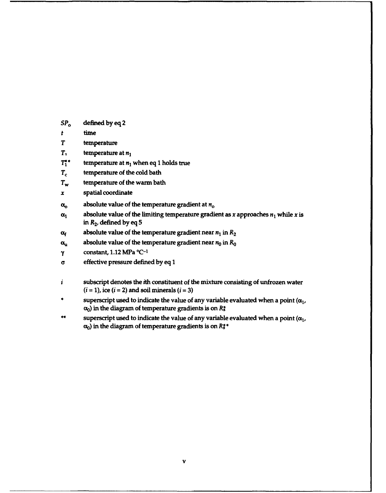- *SP,* defined by eq 2
- *t* time
- T temperature
- *T,* temperature at *n1*
- $T_1^*$  temperature at  $n_1$  when eq 1 holds true
- $T_c$  temperature of the cold bath
- $T_w$  temperature of the warm bath
- x spatial coordinate
- $\alpha$ <sup>o</sup> absolute value of the temperature gradient at  $n$ <sup>o</sup>
- $\alpha_1$  absolute value of the limiting temperature gradient as x approaches  $n_1$  while x is in  $R_2$ , defined by eq 5
- $\alpha_f$  absolute value of the temperature gradient near  $n_1$  in  $R_2$
- $\alpha_{u}$  absolute value of the temperature gradient near  $n_0$  in  $R_0$
- $\gamma$  **constant, 1.12 MPa**  $^{\circ}$ C<sup>-1</sup>
- **a** effective pressure defined by eq 1
- *i* subscript denotes the ith constituent of the mixture consisting of unfrozen water  $(i = 1)$ , ice  $(i = 2)$  and soil minerals  $(i = 3)$
- superscript used to indicate the value of any variable evaluated when a point ( $\alpha_1$ ,  $\alpha_0$ ) in the diagram of temperature gradients is on  $R_s^*$
- \*\* superscript used to indicate the value of any variable evaluated when a point  $(\alpha_1,$  $\alpha_0$ ) in the diagram of temperature gradients is on  $R_s^*$ \*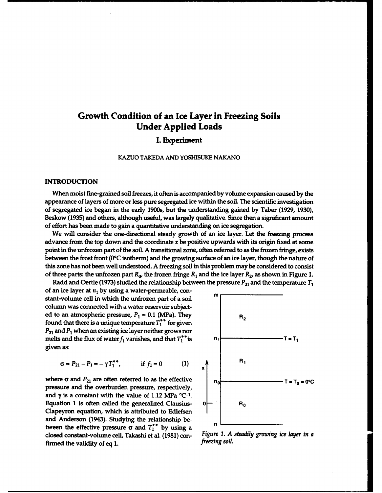# Growth Condition of an Ice Layer in Freezing Soils Under Applied Loads

### I. Experiment

#### KAZUO TAKEDA AND YOSHISUKE NAKANO

#### INTRODUCTION

When moist fine-grained soil freezes, it often is accompanied by volume expansion caused by the appearance of layers of more or less pure segregated ice within the soil. The scientific investigation of segregated ice began in the early 1900s, but the understanding gained by Taber (1929, 1930), Beskow (1935) and others, although useful, was largely qualitative. Since then a significant amount of effort has been made to gain a quantitative understanding on ice segregation.

We will consider the one-directional steady growth of an ice layer. Let the freezing process advance from the top down and the coordinate  $x$  be positive upwards with its origin fixed at some point in the unfrozen part of the soil. A transitional zone, often referred to as the frozen fringe, exists between the frost front (0°C isotherm) and the growing surface of an ice layer, though the nature of this zone has not been well understood. A freezing soil in this problem may be considered to consist of three parts: the unfrozen part  $R_0$ , the frozen fringe  $R_1$  and the ice layer  $R_2$ , as shown in Figure 1.

Radd and Oertle (1973) studied the relationship between the pressure  $P_{21}$  and the temperature  $T_1$ of an ice layer at  $n_1$  by using a water-permeable, constant-volume cell in which the unfrozen part of a soil column was connected with a water reservoir subjected to an atmospheric pressure,  $P_1 = 0.1$  (MPa). They R<sub>2</sub> found that there is a unique temperature  $T_1^*$  for given  $P_{21}$  and  $P_1$  when an existing ice layer neither grows nor melts and the flux of water  $f_1$  vanishes, and that  $T_1^*$ <sup>\*</sup> is  $n_1$  **1**  $\overline{f_1}$  **n**  $\overline{f_2}$  **n**  $\overline{f_3}$ given as:

$$
\sigma = P_{21} - P_1 = -\gamma T_1^{**}
$$
, if  $f_1 = 0$  (1)

where  $\sigma$  and  $P_{21}$  are often referred to as the effective  $T = T_0 = 0^\circ \text{C}$ pressure and the overburden pressure, respectively, and  $\gamma$  is a constant with the value of 1.12 MPa  $^{\circ}C^{-1}$ . Equation 1 is often called the generalized Clausius- $0$   $\rightarrow$   $\parallel$   $\parallel$   $\parallel$   $\parallel$   $\parallel$ Clapeyron equation, which is attributed to Edlefsen and Anderson (1943). Studying the relationship between the effective pressure  $\sigma$  and  $T_1^*$  by using a dosed constant-volume cell, Takashi et al. (1981) con- *Figure 1. A steadily growing ice layer in a* firmed the validity of eq 1.

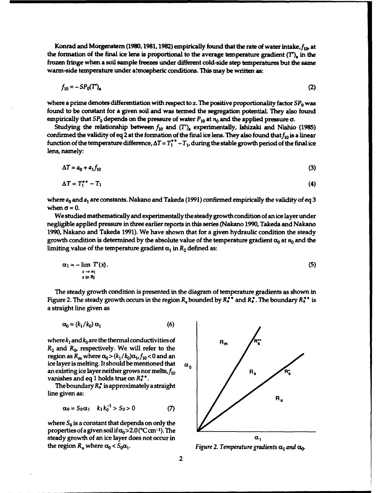Konrad and Morgenstern (1980, 1981, 1982) empirically found that the rate of water intake,  $f_{10}$ , at the formation of the final ice lens is proportional to the average temperature gradient  $(T)$ , in the frozen fringe when a soil sample freezes under different cold-side step temperatures but the same warm-side temperature under a.tmospheric conditions. This may be written as:

$$
f_{10} = -SP_0(T')_{\rm a} \tag{2}
$$

where a prime denotes differentiation with respect to x. The positive proportionality factor  $SP_0$  was found to be constant for a given soil and was termed the segregation potential. They also found empirically that  $SP_0$  depends on the pressure of water  $P_{10}$  at  $n_0$  and the applied pressure  $\sigma$ .

Studying the relationship between  $f_{10}$  and  $(T')_{\alpha}$  experimentally, Ishizaki and Nishio (1985) confirmed the validity of eq 2 at the formation of the final ice lens. They also found that  $f_{10}$  is a linear function of the temperature difference,  $\Delta T = T_1^*$  -  $T_1$ , during the stable growth period of the final ice lens, namely:

$$
\Delta T = a_0 + a_1 f_{10} \tag{3}
$$

$$
\Delta T = T_1^{**} - T_1 \tag{4}
$$

where  $a_0$  and  $a_1$  are constants. Nakano and Takeda (1991) confirmed empirically the validity of eq 3 when  $\sigma = 0$ .

We studied mathematically and experimentally the steady growth condition of an ice layer under negligible applied pressure in three earlier reports in this series (Nakano 1990, Takeda and Nakano 1990, Nakano and Takeda 1991). We have shown that for a given hydraulic condition the steady growth condition is determined by the absolute value of the temperature gradient  $\alpha_0$  at  $n_0$  and the limiting value of the temperature gradient  $\alpha_1$  in  $R_2$  defined as:

$$
\alpha_1 = -\lim_{\substack{x \to n_1 \\ x \text{ in } \mathcal{R}}} T'(x). \tag{5}
$$

The steady growth condition is presented in the diagram of temperature gradients as shown in Figure 2. The steady growth occurs in the region  $R_s$  bounded by  $R_s^*$  and  $R_s^*$ . The boundary  $R_s^*$  is a straight line given as

$$
\alpha_0 = (k_1 / k_0) \, \alpha_1 \tag{6}
$$

where  $k_1$  and  $k_0$  are the thermal conductivities of  $R_m$  $R_2$  and  $R_0$ , respectively. We will refer to the region as  $R_m$  where  $\alpha_0 > (k_1 / k_0) \alpha_1$ ,  $f_{10} < 0$  and an ice layer is melting. It should be mentioned that  $\alpha_0$ an existing ice layer neither grows nor melts,  $f_{10}$ vanishes and eq 1 holds true on  $R_s^{**}$ .

The boundary  $R_s^*$  is approximately a straight line given as:

$$
\alpha_0 = S_0 \alpha_1 \quad k_1 k_0^{-1} > S_0 > 0 \tag{7}
$$

where  $S_0$  is a constant that depends on only the properties of a given soil if  $\alpha_0$  > 2.0 (°C cm<sup>-1</sup>). The steady growth of an ice layer does not occur in  $\alpha_1$ the region  $R_u$  where  $\alpha_0 < S_0 \alpha_1$ . Figure 2. Temperature gradients  $\alpha_1$  and  $\alpha_0$ .

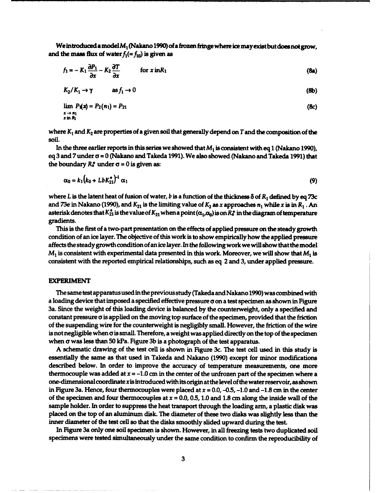We introduced a model  $M_1$  (Nakano 1990) of a frozen fringe where ice may exist but does not grow, and the mass flux of water  $f_1 (= f_{10})$  is given as

$$
f_1 = -K_1 \frac{\partial P_1}{\partial x} - K_2 \frac{\partial T}{\partial x}
$$
 for  $x$  in  $R_1$  (8a)

$$
K_2/K_1 \to \gamma \qquad \text{as } f_1 \to 0 \tag{8b}
$$

$$
\lim_{\substack{x \to n_1 \\ x \text{ in } R_1}} P_1(x) = P_2(n_1) = P_{21}
$$
\n(8c)

where  $K_1$  and  $K_2$  are properties of a given soil that generally depend on T and the composition of the soil.

In the three earlier reports in this series we showed that *M,* is consistent with eq 1 (Nakano 1990), eq 3 and 7 under **a** = 0 (Nakano and Takeda 1991). We also showed (Nakano and Takeda 1991) that the boundary  $R_s^*$  under  $\sigma = 0$  is given as:

$$
\alpha_0 = k_1 (k_0 + Lb K_{21}^*)^{-1} \alpha_1
$$
 (9)

where L is the latent heat of fusion of water, **b** is a function of the thickness 8 of R, defined by eq 73c and 73e in Nakano (1990), and  $K_{21}$  is the limiting value of  $K_2$  as x approaches  $n_1$  while x is in  $R_1$ . An asterisk denotes that  $K_{21}^*$  is the value of  $K_{21}$  when a point ( $\alpha_1,\alpha_0$ ) is on  $R_s^*$  in the diagram of temperature gradients.

This is the first of a two-part presentation on the effects of applied pressure on the steady growth condition of an ice layer. The objective of this work is to show empirically how the applied pressure affects the steady growth condition of an ice layer. In the following work we will show that the model  $M_1$  is consistent with experimental data presented in this work. Moreover, we will show that  $M_1$  is consistent with the reported empirical relationships, such as eq 2 and 3, under applied pressure.

#### EXPERIMENT

The same test apparatus used in the previous study (Takeda and Nakano 1990) was combined with a loading device that imposed a specified effective pressure **a** on a test specimen as shown in Figure 3a. Since the weight of this loading device is balanced by the counterweight, only a specified and constant pressure  $\sigma$  is applied on the moving top surface of the specimen, provided that the friction of the suspending wire for the counterweight is negligibly small. However, the friction of the wire is not negligible when **a** is small. Therefore, a weight was applied directly on the top of the specimen when  $\sigma$  was less than 50 kPa. Figure 3b is a photograph of the test apparatus.

A schematic drawing of the test cell is shown in Figure 3c. The test cell used in this study is essentially the same as that used in Takeda and Nakano (1990) except for minor modifications described below. In order to improve the accuracy of temperature measurements, one more thermocouple was added at  $x = -1.0$  cm in the center of the unfrozen part of the specimen where a one-dimensional coordinate x is introduced with its origin at the level of the water reservoir, as shown in Figure 3a. Hence, four thermocouples were placed at  $x = 0.0$ , -0.5, -1.0 and -1.8 cm in the center of the specimen and four thermocouples at  $x = 0.0$ , 0.5, 1.0 and 1.8 cm along the inside wall of the sample holder. In order to suppress the heat transport through the loading arm, a plastic disk was placed on the top of an aluminum disk. The diameter of these two disks was slightly less than the inner diameter of the test cell so that the disks smoothly slided upward during the test.

In Figure 3a only one soil specimen is shown. However, in all freezing tests two duplicated soil specimens were tested simultaneously under the same condition to confirm the reproducibility of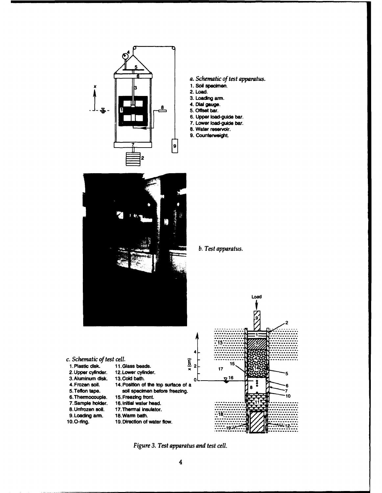

- *a. Schematic of test apparatus.*
- 1. Soil specimen.
- 2. Load.
- **3.** Loading arm.
- 
- 5. Offset bar.
- 6. Upper load-guide bar.
- **7.** Lower load-guide bar. **8.** Water reservoir.
- **9.** counterweight.



### b. Test apparatus.

Load



*Figure 3. Test apparatus and test cell.*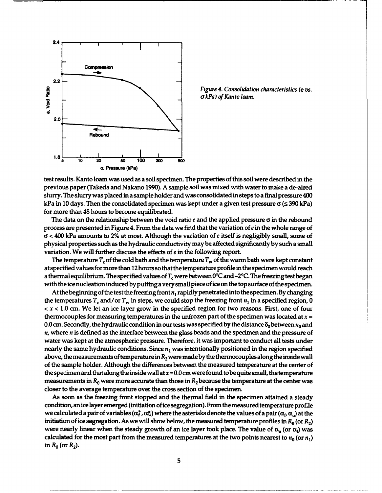

*a kPa) of Kanto loam.*

test results. Kanto loam was used as a soil specimen. The properties of this soil were described in the previous paper (Takeda and Nakano 1990). A sample soil was mixed with water to make a de-aired slurry. The slurry was placed in a sample holder and was consolidated in steps to a final pressure 400 kPa in 10 days. Then the consolidated specimen was kept under a given test pressure  $\sigma$  ( $\leq$  390 kPa) for more than 48 hours to become equilibrated.

The data on the relationship between the void ratio  $e$  and the applied pressure  $\sigma$  in the rebound process are presented in Figure 4. From the data we find that the variation of  $e$  in the whole range of cy **<** 400 kPa amounts to 2% at most. Although the variation of *e* itself is negligibly small, some of physical properties such as the hydraulic conductivity may be affected significantly by such a small variation. We will further discuss the effects of *e* in the following report.

The temperature  $T_c$  of the cold bath and the temperature  $T_w$  of the warm bath were kept constant at specified values for more than 12 hours so that the temperature profile in the specimen would reach a thermal equilibrium. The specified values of  $T_c$  were between 0°C and -2°C. The freezing test began with the ice nucleation induced by putting a very small piece of ice on the top surface of the specimen.

At the beginning of the test the freezing front  $n_1$  rapidly penetrated into the specimen. By changing the temperatures  $T_c$  and/or  $T_w$  in steps, we could stop the freezing front  $n_1$  in a specified region, 0 *<* x **<** 1.0 cm. We let an ice layer grow in the specified region for two reasons. First, one of four thermocouples for measuring temperatures in the unfrozen part of the specimen was located at  $x =$ 0.0 cm. Secondly, the hydraulic condition in our tests was specified by the distance  $\delta_0$  between  $n_0$  and  $n$ , where  $n$  is defined as the interface between the glass beads and the specimen and the pressure of water was kept at the atmospheric pressure. Therefore, it was important to conduct all tests under nearly the same hydraulic conditions. Since *n1* was intentionally positioned in the region specified above, the measurements of temperature in  $R_2$  were made by the thermocouples along the inside wall of the sample holder. Although the differences between the measured temperature at the center of the specimen and that along the inside wall at  $x = 0.0$  cm were found to be quite small, the temperature measurements in  $R_0$  were more accurate than those in  $R_2$  because the temperature at the center was closer to the average temperature over the cross section of the specimen.

As soon as the freezing front stopped and the thermal field in the specimen attained a steady condition, an ice layer emerged (initiation of ice segregation). From the measured temperature profle we calculated a pair of variables  $(\alpha_t^*, \alpha_u^*)$  where the asterisks denote the values of a pair  $(\alpha_t, \alpha_u)$  at the initiation of ice segregation. As we will show below, the measured temperature profiles in  $R_0$  (or  $R_2$ ) were nearly linear when the steady growth of an ice layer took place. The value of  $\alpha_{\rm u}$  (or  $\alpha_{\rm f}$ ) was calculated for the most part from the measured temperatures at the two points nearest to  $n_0$  (or  $n_1$ ) in  $R_0$  (or  $R_2$ ).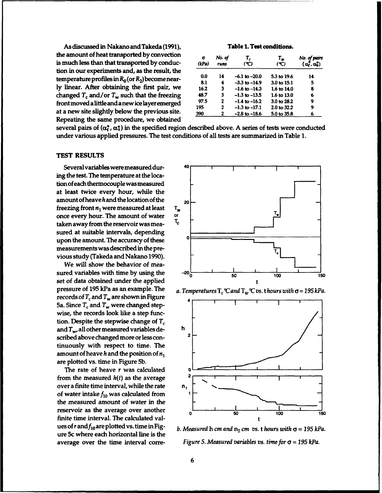As discussed in Nakano and Takeda (1991), Table 1. Test conditions. the amount of heat transported by convection is much less than that transported by conduction in our experiments and, as the result, the temperature profiles in  $R_0$  (or  $R_2$ ) become nearly linear. After obtaining the first pair, we changed  $T_c$  and/or  $T_w$  such that the freezing frontmoved a little and anewice layeremerged 97.5 2 -1.4 to **-16.2** 3.0 to **28.2** <sup>9</sup> at a new site slightly below the previous site. Repeating the same procedure, we obtained

| σ<br>(kPa) | No. of<br>runs | Т,<br>(°C)        | т.,<br>(C)  | No. of pairs<br>$(\alpha_t^*, \alpha_0^*)$ |
|------------|----------------|-------------------|-------------|--------------------------------------------|
| 0.0        | 14             | $-6.1$ to $-20.0$ | 5.3 to 19.6 | 14                                         |
| 8.1        | 4              | $-3.3$ to $-14.9$ | 3.0 to 15.1 | 5                                          |
| 16.2       | 3              | $-1.6$ to $-14.3$ | 1.6 to 14.0 | 8                                          |
| 48.7       | 3              | $-1.3$ to $-13.5$ | 1.6 to 13.0 | 6                                          |
| 97.5       | $\mathbf{2}$   | $-1.4$ to $-16.2$ | 3.0 to 28.2 | 9                                          |
| 195        | 2              | $-1.3$ to $-17.1$ | 2.0 to 32.2 | 9                                          |
| 390        | $\mathbf{2}$   | $-2.8$ to $-18.6$ | 5.0 to 35.8 | 6                                          |

several pairs of  $(\alpha_i^*, \alpha_u^*)$  in the specified region described above. A series of tests were conducted under various applied pressures. The test conditions of all tests are summarized in Table 1.

#### TEST RESULTS

Several variables were measured during the test. The temperature at the location of each thermocouple was measured at least twice every hour, while the amount of heave h and the location of the  $_{20}$ freezing front  $n_1$  were measured at least  $T_w$ once every hour. The amount of water or<br>taken away from the reception was meataken away from the reservoir was measured at suitable intervals, depending **0** upon the amount. The accuracy of these measurements was described in the previous study (Takeda and Nakano 1990).

We will show the behavior of measured variables with time by using the  $-20\frac{1}{50}$  set of data obtained under the applied t pressure of 195 kPa as an example. The applied pressure of 195 kPa as an example. The records of  $T_c$  and  $T_w$  are shown in Figure 5a. Since  $T_c$  and  $T_w$  were changed stepwise, the records look like a step function. Despite the stepwise change of T, and  $T_w$ , all other measured variables described above changed more or less continuously with respect to time. The amount of heave h and the position of  $n_1$ are plotted vs. time in Figure **5b.**

The rate of heave  $r$  was calculated  $q$ from the measured  $h(t)$  as the average  $2$ over a finite time interval, while the rate  $n_1$ <br>of water intake  $f_{10}$  was calculated from finite time interval. The calculated values of r and  $f_{10}$  are plotted vs. time in Fig- *b. Measured h cm and*  $n_1$  *cm vs. thours with*  $\sigma = 195$  kPa. ure 5c where each horizontal line is the



a. Temperatures  $T_c \mathcal{C}$  and  $T_w \mathcal{C}$  vs. thours with  $\sigma = 195$  kPa.



average over the time interval corre- *Figure 5. Measured variables vs.* time for o **=** *195 kPa.*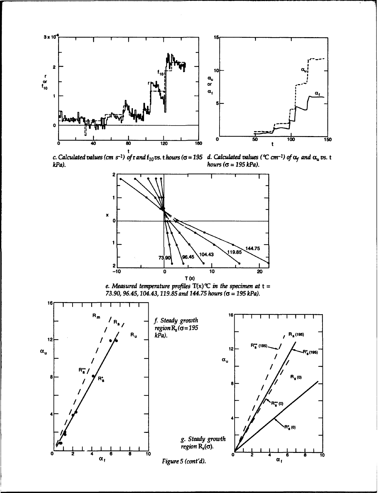

t *c. Calculated values (cm s-1) ofrand flovs. t hours((;= 195 d.* Calculated values *(MC cm-I)Qofxf and* auvs. t *kPa). hours (k* **=** *195 kPa).*



*e. Measured temperature profiles*  $T(x)$ <sup> $\mathcal{C}$  *in the specimen at*  $t =$ </sup> *73.90, 96.45,104.43,119.85 and 144.75 hours (a* **=** *195 kPa).*

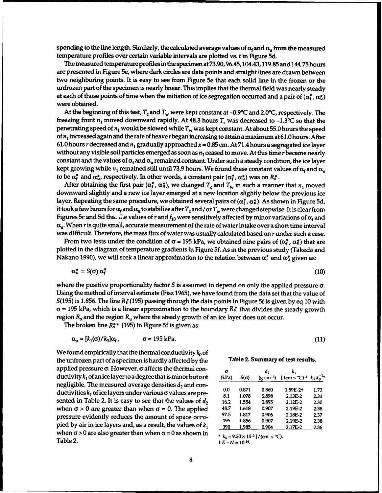sponding to the line length. Similarly, the calculated average values of  $\alpha_i$  and  $\alpha_u$  from the measured temperature profiles over certain variable intervals are plotted vs. t in Figure **5d.**

The measured temperature profiles in the specimen at 73.90,96.45,104.43,119.85 and 144.75 hours are presented in Figure 5e, where dark circles are data points and straight lines are drawn between two neighboring points. It is easy to see from Figure 5e that each solid line in the frozen or the unfrozen part of the specimen is nearly linear. This implies that the thermal field was nearly steady at each of those points of time when the initiation of ice segregation occurred and a pair of  $(\alpha_t^*, \alpha_u^*)$ were obtained.

At the beginning of this test,  $T_c$  and  $T_w$  were kept constant at  $-0.9^{\circ}C$  and 2.0°C, respectively. The freezing front  $n_1$  moved downward rapidly. At 48.3 hours  $T_c$  was decreased to  $-1.3$ °C so that the penetrating speed of  $n_1$  would be slowed while  $T_w$  was kept constant. At about 55.0 hours the speed of *n1* increased again and the rate of heave rbegan increasing to attain a maximum at 61.0 hours. After 61.0 hours *r* decreased and  $n_1$  gradually approached  $x = 0.85$  cm. At 71.4 hours a segregated ice layer without any visible soil particles emerged as soon as  $n_1$  ceased to move. At this time r became nearly constant and the values of  $\alpha_i$  and  $\alpha_u$  remained constant. Under such a steady condition, the ice layer kept growing while  $n_1$  remained still until 73.9 hours. We found these constant values of  $\alpha_f$  and  $\alpha_u$ to be  $\alpha_t^*$  and  $\alpha_u^*$ , respectively. In other words, a constant pair  $(\alpha_t^*, \alpha_u^*)$  was on  $R_s^*$ .

After obtaining the first pair  $(\alpha_t^*, \alpha_u^*)$ , we changed  $T_c$  and  $T_w$  in such a manner that  $n_1$  moved downward slightly and a new ice layer emerged at a new location slightly below the previous ice layer. Repeating the same procedure, we obtained several pairs of  $(\alpha_f^*, \alpha_u^*)$ . As shown in Figure 5d, it took a few hours for  $\alpha_f$  and  $\alpha_u$  to stabilize after  $T_c$  and/or  $T_w$  were changed stepwise. It is clear from Figures 5c and 5d tha,  $\dot{x}$ e values of r and  $f_{10}$  were sensitively affected by minor variations of  $\alpha_f$  and  $\alpha_{\rm u}$ . When r is quite small, accurate measurement of the rate of water intake over a short time interval was difficult. Therefore, the mass flux of water was usually calculated based on *r* under such a case.

From two tests under the condition of  $\sigma$  = 195 kPa, we obtained nine pairs of  $(\alpha_f^*, \alpha_u^*)$  that are plotted in the diagram of temperature gradients in Figure **5f.** As in the previous study (Takeda and Nakano 1990), we will seek a linear approximation to the relation between  $\alpha_f^*$  and  $\alpha_u^*$  given as:

$$
\alpha_{\mathfrak{u}}^* = S(\sigma) \alpha_{\mathfrak{f}}^* \tag{10}
$$

where the positive proportionality factor  $S$  is assumed to depend on only the applied pressure  $\sigma$ . Using the method of interval estimate (Fisz 1965), we have found from the data set that the value of S(195) is 1.856. The line  $R^*_s$ (195) passing through the data points in Figure 5f is given by eq 10 with  $\sigma$  = 195 kPa, which is a linear approximation to the boundary  $R_s^*$  that divides the steady growth region  $R_s$  and the region  $R_u$  where the steady growth of an ice layer does not occur.

The broken line  $R_s^{**}$  (195) in Figure 5f is given as:

$$
\alpha_u = [k_1(\sigma)/k_0] \alpha_f, \qquad \sigma = 195 \text{ kPa}. \tag{11}
$$

We found empirically that the thermal conductivity  $k_0$  of the unfrozen part of a specimen is hardly affected by the applied pressure σ. However, σ affects the thermal conductivity  $k_1$  of an ice layer to a degree that is minor but not negligible. The measured average densities  $d_2$  and conductivities  $k_1$  of ice layers under various  $\sigma$  values are presented in Table 2. It is easy to see that the values of  $d_2$ when  $\sigma > 0$  are greater than when  $\sigma = 0$ . The applied pressure evidently reduces the amount of space occupied by air in ice layers and, as a result, the values of  $k_1$ when  $\sigma > 0$  are also greater than when  $\sigma = 0$  as shown in  $\star k_0 = 9.20 \times 10^{-3}$  J/(cm s °C). Table 2.  $t E - N = 10^{-N}$ .

|  | Table 2. Summary of test results. |  |  |  |  |
|--|-----------------------------------|--|--|--|--|
|--|-----------------------------------|--|--|--|--|

| σ<br>(kPa) | $S(\sigma)$ | d,<br>$(g \, cm^{-3})$ | k,<br>J (cm s °C) <sup>-1</sup> | $k_1k_0^{-1}$ |
|------------|-------------|------------------------|---------------------------------|---------------|
| 0.0        | 0.871       | 0.860                  | 1.59E-2+                        | 1.73          |
| 8.1        | 1.078       | 0.898                  | $2.13E-2$                       | 2.31          |
| 16.2       | 1.554       | 0.895                  | 2.12E-2                         | 2.30          |
| 48.7       | 1.618       | 0.907                  | 2.19E-2                         | 2.38          |
| 97.5       | 1.817       | 0.906                  | 2.18E-2                         | 2.37          |
| 195        | 1.856       | 0.907                  | 2.19E-2                         | 2.38          |
| 390        | 1.985       | 0.904                  | 2.17E-2                         | 2.36          |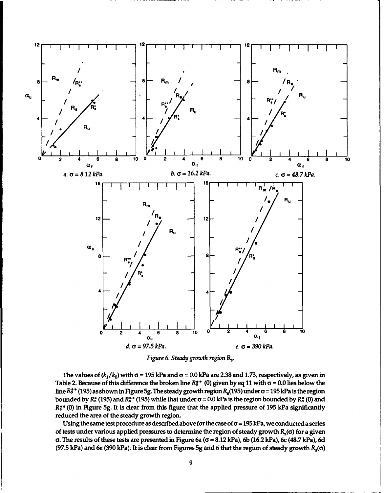

*Figure 6. Steady growth region R,.*

The values of  $(k_1/k_0)$  with  $\sigma$  = 195 kPa and  $\sigma$  = 0.0 kPa are 2.38 and 1.73, respectively, as given in Table 2. Because of this difference the broken line  $R_s^{**}$  (0) given by eq 11 with  $\sigma$  = 0.0 lies below the line  $R_3^*$ <sup>\*</sup> (195) as shown in Figure 5g. The steady growth region  $R_s(195)$  under  $\sigma$  = 195 kPa is the region bounded by R<sup>\*</sup> (195) and R<sup>\*</sup> (195) while that under  $\sigma$  = 0.0 kPa is the region bounded by R<sup>\*</sup> (0) and *R\*\** (0) in Figure 5g. It is dear from this figure that the applied pressure of 195 kPa significantly reduced the area of the steady growth region.

Using the same test procedure as described above for the case of  $\sigma$  = 195 kPa, we conducted a series of tests under various applied pressures to determine the region of steady growth  $R_s(\sigma)$  for a given  $\sigma$ . The results of these tests are presented in Figure 6a ( $\sigma$  = 8.12 kPa), 6b (16.2 kPa), 6c (48.7 kPa), 6d (97.5 kPa) and 6e (390 kPa): It is clear from Figures 5g and 6 that the region of steady growth  $R_s(\sigma)$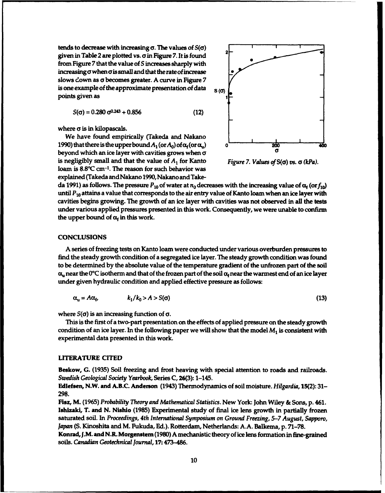tends to decrease with increasing **a.** The values of *S(a)* given in Table 2 are plotted vs. **ain** Figure 7. It is found from Figure 7 that the value of *S* increases sharply with increasingo when **ais** small and that the rate ofincrease slows down as **a** becomes greater. A curve in Figure 7 is one example of the approximate presentation of data s (0) points given as

$$
S(\sigma) = 0.280 \,\sigma^{0.243} + 0.856 \tag{12}
$$

where **a** is in kilopascals.

We have found empirically (Takeda and Nakano 1990) that there is the upper bound  $A_1$  (or  $A_0$ ) of  $\alpha_f$  (or  $\alpha_u$ ) **0 1200 200 200 400** beyond which an ice layer with cavities grows when  $\sigma$ is negligibly small and that the value of *A1* for Kanto *Figure 7. Values of* S(a) *vs. a (kPa).* loam is 8.8"C cm-<sup>1</sup> . The reason for such behavior was explained (Takeda andNakano 1990, Nakano and Take-



da 1991) as follows. The pressure  $P_{10}$  of water at  $n_0$  decreases with the increasing value of  $\alpha_f$  (or  $f_{10}$ ) until *P10* attains a value that corresponds to the air entry value of Kanto loam when an ice layer with cavities begins growing. The growth of an ice layer with cavities was not observed in all the tests under various applied pressures presented in this work. Consequently, we were unable to confirm the upper bound of  $\alpha_f$  in this work.

#### **CONCLUSIONS**

A series of freezing tests on Kanto loam were conducted under various overburden pressures to find the steady growth condition of a segregated ice layer. The steady growth condition was found to be determined by the absolute value of the temperature gradient of the unfrozen part of the soil  $\alpha_{\rm u}$  near the 0°C isotherm and that of the frozen part of the soil  $\alpha_{\rm f}$  near the warmest end of an ice layer under given hydraulic condition and applied effective pressure as follows:

$$
\alpha_{\mathbf{u}} = A\alpha_{\mathbf{f}}, \qquad k_1/k_0 > A > S(\sigma) \tag{13}
$$

where  $S(\sigma)$  is an increasing function of  $\sigma$ .

This is the first of a two-part presentation on the effects of applied pressure on the steady growth condition of an ice layer. In the following paper we will show that the model *M1* is consistent with experimental data presented in this work.

#### LITERATURE CITED

Beskow, G. (1935) Soil freezing and frost heaving with special attention to roads and railroads. *Swedish Geological Society Yearbook,* Series C, 26(3): 1-145.

Edlefsen, N.W. and A.B.C. Anderson (1943) Thermodynamics of soil moisture. Hilgardia, 15(2): 31- 298.

Fisz, M. (1965) *Probability Theory and Mathematical Statistics.* New York: John Wiley & Sons, p. 461. Ishizaki, T. and N. Nishio (1985) Experimental study of final ice lens growth in partially frozen saturated soil. In *Proceedings, 4th International Symposium on Ground Freezing, 5-7 August, Sapporo, Japan* (S. Kinoshita and M. Fukuda, Ed.). Rotterdam, Netherlands: A.A. Balkema, p. 71-78.

Konrad,J.M. and N.R. Morgenstern (1980) A mechanistic theory of ice lens formation in fine-grained soils. *Canadian Geotechnical Journal,* 17: 473-486.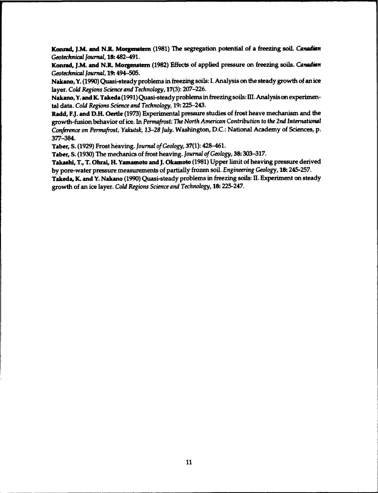**Konrad, JAM** and **N.L Morgenstern** (1981) The segregation potential of a freezing soil. *Canadian Geotechnical Journal,* **18:** 482-491.

**Konrad,** J.M. and **NJL Morgenstem** (1982) Effects of applied pressure on freezing soils. *Canadian Geotechnical Journal,* 19. 494-505.

Nakano, Y. (1990) Quasi-steady problems in freezing soils: I. Analysis on the steady growth of an ice layer. *Cold Regions Science and Technology,* 17(3): 207-226.

Nakano, Y. and K. Takeda (1991) Quasi-steady problems in freezing soils: **IHl.** Analysis on experimental data. Cold *Regions Science and Technology,* 19: 225-243.

Radd, F.J. and D.H. Oertle (1973) Experimental pressure studies of frost heave mechanism and the growth-fusion behavior of ice. In *Permafrost: The North American* Contribution to *the* 2nd International *Conference on Permafrost, Yakutsk, 13-28* July. Washington, D.C.: National Academy of Sciences, p. 377-384.

Taber, S. (1929) Frost heaving. Journal *of Geology,* **37(1):** 428-461.

Taber, S. (1930) The mechanics of frost heaving. Journal *of Geology,* 38: 303-317.

Takashi, T., T. Ohrai, H. Yamamoto and J. Okamoto (1981) Upper limit of heaving pressure derived by pore-water pressure measurements of partially frozen soil. *Engineering Geology,* 18: 245-257.

Takeda, K. and Y. Nakano (1990) Quasi-steady problems in freezing soils: H. Experiment on steady growth of an ice layer. Cold *Regions Science and Technology,* **18:** 225-247.